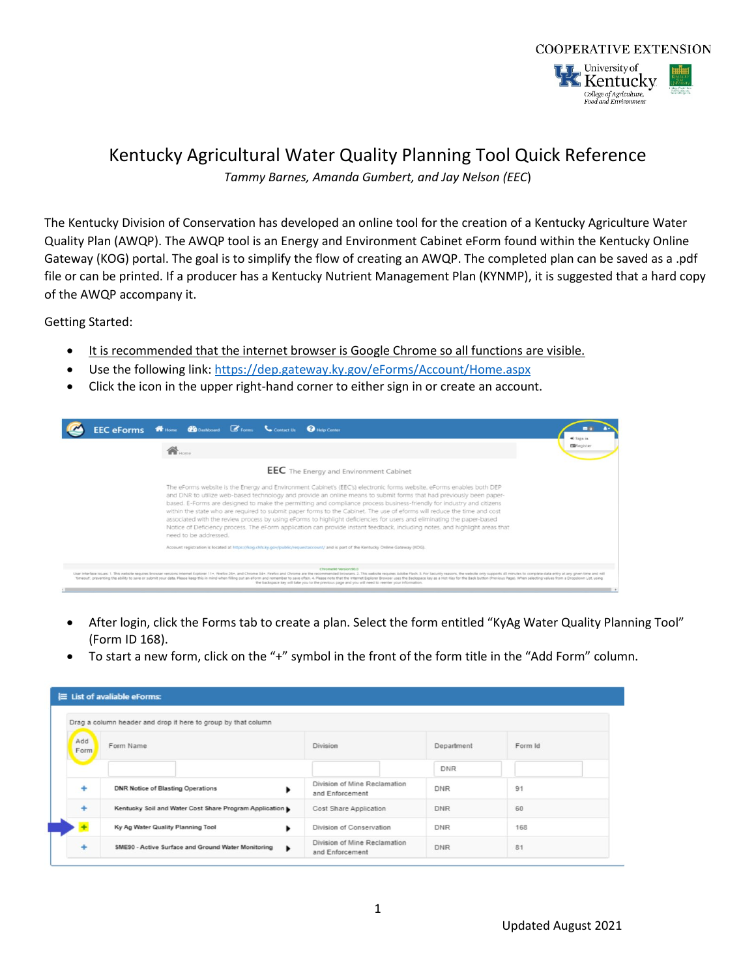

## Kentucky Agricultural Water Quality Planning Tool Quick Reference

*Tammy Barnes, Amanda Gumbert, and Jay Nelson (EEC*)

The Kentucky Division of Conservation has developed an online tool for the creation of a Kentucky Agriculture Water Quality Plan (AWQP). The AWQP tool is an Energy and Environment Cabinet eForm found within the Kentucky Online Gateway (KOG) portal. The goal is to simplify the flow of creating an AWQP. The completed plan can be saved as a .pdf file or can be printed. If a producer has a Kentucky Nutrient Management Plan (KYNMP), it is suggested that a hard copy of the AWQP accompany it.

Getting Started:

- It is recommended that the internet browser is Google Chrome so all functions are visible.
- Use the following link:<https://dep.gateway.ky.gov/eForms/Account/Home.aspx>
- Click the icon in the upper right-hand corner to either sign in or create an account.



- After login, click the Forms tab to create a plan. Select the form entitled "KyAg Water Quality Planning Tool" (Form ID 168).
- To start a new form, click on the "+" symbol in the front of the form title in the "Add Form" column.

|             | Drag a column header and drop it here to group by that column |                                                 |            |         |
|-------------|---------------------------------------------------------------|-------------------------------------------------|------------|---------|
| Add<br>Form | Form Name                                                     | Division                                        | Department | Form Id |
| -           |                                                               |                                                 | <b>DNR</b> |         |
| ۰           | <b>DNR Notice of Blasting Operations</b><br>٠                 | Division of Mine Reclamation<br>and Enforcement | <b>DNR</b> | 91      |
| ٠           | Kentucky Soil and Water Cost Share Program Application        | Cost Share Application                          | <b>DNR</b> | 60      |
| $\pm$       | Ky Ag Water Quality Planning Tool<br>٠                        | Division of Conservation                        | <b>DNR</b> | 168     |
| ٠           | SME90 - Active Surface and Ground Water Monitoring<br>٠       | Division of Mine Reclamation<br>and Enforcement | <b>DNR</b> | 81      |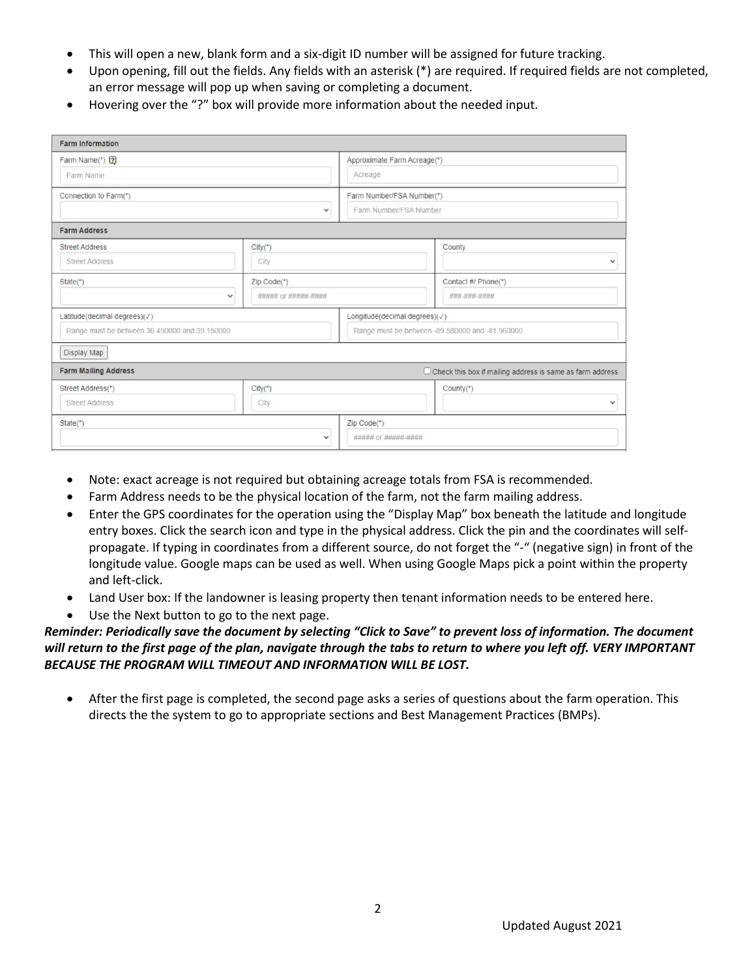- This will open a new, blank form and a six-digit ID number will be assigned for future tracking.
- Upon opening, fill out the fields. Any fields with an asterisk (\*) are required. If required fields are not completed, an error message will pop up when saving or completing a document.
- Hovering over the "?" box will provide more information about the needed input.

| <b>Farm Information</b>                                                       |                                    |                                                     |                                                           |
|-------------------------------------------------------------------------------|------------------------------------|-----------------------------------------------------|-----------------------------------------------------------|
| Farm Name(*) ?<br>Farm Name                                                   |                                    | Approximate Farm Acreage(*)<br>Acreage              |                                                           |
| Connection to Farm(*)                                                         | $\checkmark$                       | Farm Number/FSA Number(*)<br>Farm Number/FSA Number |                                                           |
| <b>Farm Address</b>                                                           |                                    |                                                     |                                                           |
| <b>Street Address</b><br><b>Street Address</b>                                | City(")<br>City                    |                                                     | County<br>$\checkmark$                                    |
| $State(*)$<br>$\checkmark$                                                    | Zip Code(*)<br>##### or ##### #### |                                                     | Contact #/ Phone(*)<br>### ### ####                       |
| Latitude(decimal degrees)(V)<br>Range must be between 36.490000 and 39.150000 |                                    | Longitude(decimal degrees)(√)                       | Range must be between -89.580000 and -81.960000           |
| Display Map<br><b>Farm Mailing Address</b>                                    |                                    |                                                     | Check this box if mailing address is same as farm address |
| Street Address(*)<br><b>Street Address</b>                                    | $City(*)$<br>City                  |                                                     | County(*)                                                 |
| State(*)                                                                      | $\checkmark$                       | Zip Code(*)<br>##### or ##### ####                  |                                                           |

- Note: exact acreage is not required but obtaining acreage totals from FSA is recommended.
- Farm Address needs to be the physical location of the farm, not the farm mailing address.
- Enter the GPS coordinates for the operation using the "Display Map" box beneath the latitude and longitude entry boxes. Click the search icon and type in the physical address. Click the pin and the coordinates will selfpropagate. If typing in coordinates from a different source, do not forget the "-" (negative sign) in front of the longitude value. Google maps can be used as well. When using Google Maps pick a point within the property and left-click.
- Land User box: If the landowner is leasing property then tenant information needs to be entered here.
- Use the Next button to go to the next page.

## *Reminder: Periodically save the document by selecting "Click to Save" to prevent loss of information. The document will return to the first page of the plan, navigate through the tabs to return to where you left off. VERY IMPORTANT BECAUSE THE PROGRAM WILL TIMEOUT AND INFORMATION WILL BE LOST.*

• After the first page is completed, the second page asks a series of questions about the farm operation. This directs the the system to go to appropriate sections and Best Management Practices (BMPs).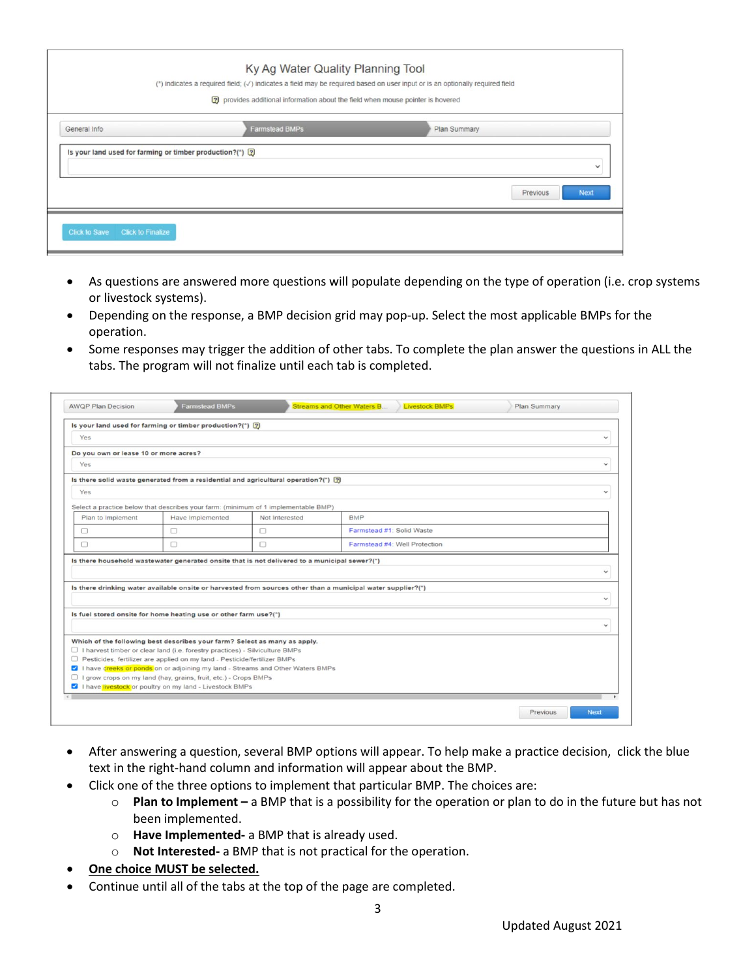|                                                            | Ky Ag Water Quality Planning Tool<br>(*) indicates a required field; ( $\sqrt{ }$ ) indicates a field may be required based on user input or is an optionally required field<br>?) provides additional information about the field when mouse pointer is hovered |              |
|------------------------------------------------------------|------------------------------------------------------------------------------------------------------------------------------------------------------------------------------------------------------------------------------------------------------------------|--------------|
|                                                            |                                                                                                                                                                                                                                                                  |              |
| General Info                                               | <b>Farmstead BMPs</b>                                                                                                                                                                                                                                            | Plan Summary |
| Is your land used for farming or timber production?(*) [2] |                                                                                                                                                                                                                                                                  |              |
|                                                            |                                                                                                                                                                                                                                                                  |              |

- As questions are answered more questions will populate depending on the type of operation (i.e. crop systems or livestock systems).
- Depending on the response, a BMP decision grid may pop-up. Select the most applicable BMPs for the operation.
- Some responses may trigger the addition of other tabs. To complete the plan answer the questions in ALL the tabs. The program will not finalize until each tab is completed.

|                                       | Is your land used for farming or timber production?(*) [?]                                         |                |                                                                                                              |                              |
|---------------------------------------|----------------------------------------------------------------------------------------------------|----------------|--------------------------------------------------------------------------------------------------------------|------------------------------|
| Yes                                   |                                                                                                    |                |                                                                                                              | $\checkmark$                 |
| Do you own or lease 10 or more acres? |                                                                                                    |                |                                                                                                              |                              |
| Yes                                   |                                                                                                    |                |                                                                                                              | $\checkmark$                 |
|                                       | Is there solid waste generated from a residential and agricultural operation?(*) $[2]$             |                |                                                                                                              |                              |
| Yes                                   |                                                                                                    |                |                                                                                                              | $\checkmark$                 |
|                                       | Select a practice below that describes your farm: (minimum of 1 implementable BMP)                 |                |                                                                                                              |                              |
| Plan to Implement                     | Have Implemented                                                                                   | Not Interested | <b>BMP</b>                                                                                                   |                              |
| $\Box$                                | $\Box$                                                                                             | $\Box$         | Farmstead #1: Solid Waste                                                                                    |                              |
|                                       |                                                                                                    |                |                                                                                                              |                              |
| o                                     | O<br>Is there household wastewater generated onsite that is not delivered to a municipal sewer?(*) | □              | Farmstead #4: Well Protection                                                                                |                              |
|                                       |                                                                                                    |                | Is there drinking water available onsite or harvested from sources other than a municipal water supplier?(*) | $\checkmark$<br>$\checkmark$ |
|                                       | Is fuel stored onsite for home heating use or other farm use?(*)                                   |                |                                                                                                              |                              |
|                                       |                                                                                                    |                |                                                                                                              | $\checkmark$                 |

- After answering a question, several BMP options will appear. To help make a practice decision, click the blue text in the right-hand column and information will appear about the BMP.
- Click one of the three options to implement that particular BMP. The choices are:
	- o **Plan to Implement –** a BMP that is a possibility for the operation or plan to do in the future but has not been implemented.
	- o **Have Implemented-** a BMP that is already used.
	- o **Not Interested-** a BMP that is not practical for the operation.
- **One choice MUST be selected.**
- Continue until all of the tabs at the top of the page are completed.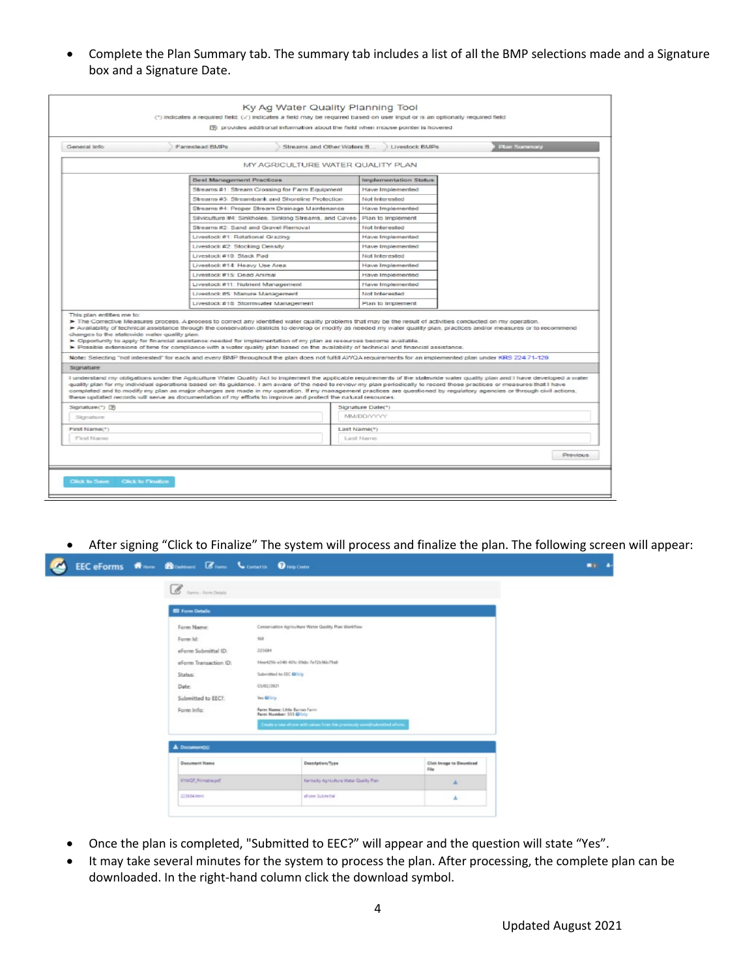• Complete the Plan Summary tab. The summary tab includes a list of all the BMP selections made and a Signature box and a Signature Date.

|                                                 | Farmstead BMPs                                                                                                                                                                                                                                                                                                                                                                                                                                                                                                                                                                                                                                                      | Streams and Other Waters B<br>Livestock BMPs | Plan Summary |
|-------------------------------------------------|---------------------------------------------------------------------------------------------------------------------------------------------------------------------------------------------------------------------------------------------------------------------------------------------------------------------------------------------------------------------------------------------------------------------------------------------------------------------------------------------------------------------------------------------------------------------------------------------------------------------------------------------------------------------|----------------------------------------------|--------------|
|                                                 | MY AGRICULTURE WATER QUALITY PLAN                                                                                                                                                                                                                                                                                                                                                                                                                                                                                                                                                                                                                                   |                                              |              |
|                                                 | <b>Best Management Practices</b>                                                                                                                                                                                                                                                                                                                                                                                                                                                                                                                                                                                                                                    | Implementation Status                        |              |
|                                                 | Streams #1: Stream Crossing for Farm Equipment                                                                                                                                                                                                                                                                                                                                                                                                                                                                                                                                                                                                                      | Have Implemented                             |              |
|                                                 | Streams #3: Streambank and Shoreline Protection                                                                                                                                                                                                                                                                                                                                                                                                                                                                                                                                                                                                                     | Not Interested                               |              |
|                                                 | Streams #4: Proper Stream Drainage Maintenance.                                                                                                                                                                                                                                                                                                                                                                                                                                                                                                                                                                                                                     | Have Implemented                             |              |
|                                                 | Silviculture #4: Sinkholes, Sinking Streams, and Caves                                                                                                                                                                                                                                                                                                                                                                                                                                                                                                                                                                                                              | Plan to Implement                            |              |
|                                                 | Streams #2: Sand and Gravel Removal                                                                                                                                                                                                                                                                                                                                                                                                                                                                                                                                                                                                                                 | Not Interested                               |              |
|                                                 | Livestock #1: Rotational Grazing                                                                                                                                                                                                                                                                                                                                                                                                                                                                                                                                                                                                                                    | Have Implemented                             |              |
|                                                 | Livestock #2: Stocking Density                                                                                                                                                                                                                                                                                                                                                                                                                                                                                                                                                                                                                                      | Have Implemented                             |              |
|                                                 | Livestock #10: Stack Pad                                                                                                                                                                                                                                                                                                                                                                                                                                                                                                                                                                                                                                            | Not Interested                               |              |
|                                                 | Livestock #14: Heavy Use Area                                                                                                                                                                                                                                                                                                                                                                                                                                                                                                                                                                                                                                       | Have Implemented                             |              |
|                                                 | Livestock #15: Dead Animal                                                                                                                                                                                                                                                                                                                                                                                                                                                                                                                                                                                                                                          | Have Implemented                             |              |
|                                                 | Livestock #11: Nutrient Management                                                                                                                                                                                                                                                                                                                                                                                                                                                                                                                                                                                                                                  | Have Implemented                             |              |
|                                                 | Livestock #5: Manure Management                                                                                                                                                                                                                                                                                                                                                                                                                                                                                                                                                                                                                                     | Not Interested                               |              |
|                                                 | Livestock #18: Stormwater Management                                                                                                                                                                                                                                                                                                                                                                                                                                                                                                                                                                                                                                | Plan to Implement                            |              |
| changes to the statewide water quality plan.    | > Availability of technical assistance through the conservation districts to develop or modify as needed my water quality plan, practices and/or measures or to recommend<br>> Opportunity to apply for financial assistance needed for implementation of my plan as resources become available.                                                                                                                                                                                                                                                                                                                                                                    |                                              |              |
| Signature                                       | > Possible extensions of time for compliance with a water quality plan based on the availability of technical and financial assistance.<br>Note: Selecting "not interested" for each and every BMP throughout the plan does not fulfil AWQA requirements for an implemented plan under KRS 224.71-120.<br>I understand my obligations under the Agriculture Water Quality Act to implement the applicable requirements of the statewide water quality plan and I have developed a water<br>quality plan for my individual operations based on its guidance. I am aware of the need to review my plan periodically to record those practices or measures that I have |                                              |              |
|                                                 | completed and to modify my plan as major changes are made in my operation. If my management practices are questioned by regulatory agencies or through civil actions,<br>these updated records will serve as documentation of my efforts to improve and protect the natural resources.                                                                                                                                                                                                                                                                                                                                                                              |                                              |              |
|                                                 |                                                                                                                                                                                                                                                                                                                                                                                                                                                                                                                                                                                                                                                                     | Signature Date(*)                            |              |
| Signature                                       |                                                                                                                                                                                                                                                                                                                                                                                                                                                                                                                                                                                                                                                                     | <b>MM/DD/YYYY</b>                            |              |
|                                                 |                                                                                                                                                                                                                                                                                                                                                                                                                                                                                                                                                                                                                                                                     | Last Name(*)                                 |              |
| Signature(*) (9)<br>First Name(*)<br>First Name |                                                                                                                                                                                                                                                                                                                                                                                                                                                                                                                                                                                                                                                                     | Last Name                                    |              |

• After signing "Click to Finalize" The system will process and finalize the plan. The following screen will appear:

| <b>C</b> rams-Asm Datals |                                                                            |                                        |  |
|--------------------------|----------------------------------------------------------------------------|----------------------------------------|--|
| <b>Eli Form Details</b>  |                                                                            |                                        |  |
| Form Name:               | Conservation Agriculture Water Quality Plan Workflow                       |                                        |  |
| Form ld:                 | 368                                                                        |                                        |  |
| eForm Submittal ID:      | 223684                                                                     |                                        |  |
| eForm Transaction (D:    | 14ee4256-e340-401c-89da-7e72tr96b79aD                                      |                                        |  |
| Status:                  | Submitted to EEC OH by                                                     |                                        |  |
| Date:                    | 03/02/2021                                                                 |                                        |  |
| Submitted to EEC?:       | <b>Ves Glielp</b>                                                          |                                        |  |
| Form Info:               | Farm Name: Little Barren Farm<br>Farm Number: 555 OHrly                    |                                        |  |
|                          | Deale a new efform with values from this previously saved/submitted eform. |                                        |  |
| <b>1</b> Document(s):    |                                                                            |                                        |  |
| <b>Document Name</b>     | Description/Type                                                           | <b>Click Image to Download</b><br>File |  |
|                          |                                                                            |                                        |  |
| KYWOF Printable pdf      | Kentucky Agriculture Water Quality Plan                                    | 吉                                      |  |

- Once the plan is completed, "Submitted to EEC?" will appear and the question will state "Yes".
- It may take several minutes for the system to process the plan. After processing, the complete plan can be downloaded. In the right-hand column click the download symbol.